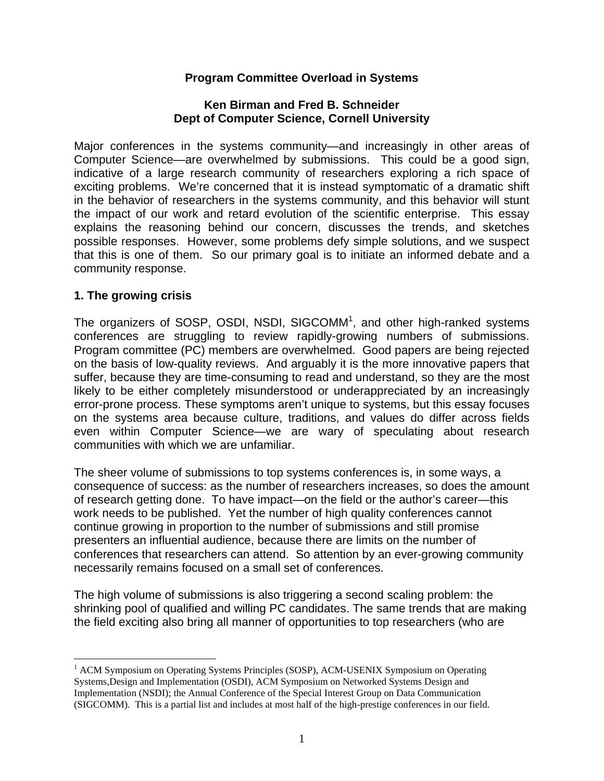### **Program Committee Overload in Systems**

#### **Ken Birman and Fred B. Schneider Dept of Computer Science, Cornell University**

Major conferences in the systems community—and increasingly in other areas of Computer Science—are overwhelmed by submissions. This could be a good sign, indicative of a large research community of researchers exploring a rich space of exciting problems. We're concerned that it is instead symptomatic of a dramatic shift in the behavior of researchers in the systems community, and this behavior will stunt the impact of our work and retard evolution of the scientific enterprise. This essay explains the reasoning behind our concern, discusses the trends, and sketches possible responses. However, some problems defy simple solutions, and we suspect that this is one of them. So our primary goal is to initiate an informed debate and a community response.

### **1. The growing crisis**

 $\overline{a}$ 

The organizers of SOSP, OSDI, NSDI, SIGCOMM<sup>1</sup>, and other high-ranked systems conferences are struggling to review rapidly-growing numbers of submissions. Program committee (PC) members are overwhelmed. Good papers are being rejected on the basis of low-quality reviews. And arguably it is the more innovative papers that suffer, because they are time-consuming to read and understand, so they are the most likely to be either completely misunderstood or underappreciated by an increasingly error-prone process. These symptoms aren't unique to systems, but this essay focuses on the systems area because culture, traditions, and values do differ across fields even within Computer Science—we are wary of speculating about research communities with which we are unfamiliar.

The sheer volume of submissions to top systems conferences is, in some ways, a consequence of success: as the number of researchers increases, so does the amount of research getting done. To have impact—on the field or the author's career—this work needs to be published. Yet the number of high quality conferences cannot continue growing in proportion to the number of submissions and still promise presenters an influential audience, because there are limits on the number of conferences that researchers can attend. So attention by an ever-growing community necessarily remains focused on a small set of conferences.

The high volume of submissions is also triggering a second scaling problem: the shrinking pool of qualified and willing PC candidates. The same trends that are making the field exciting also bring all manner of opportunities to top researchers (who are

<sup>&</sup>lt;sup>1</sup> ACM Symposium on Operating Systems Principles (SOSP), ACM-USENIX Symposium on Operating Systems,Design and Implementation (OSDI), ACM Symposium on Networked Systems Design and Implementation (NSDI); the Annual Conference of the Special Interest Group on Data Communication (SIGCOMM). This is a partial list and includes at most half of the high-prestige conferences in our field.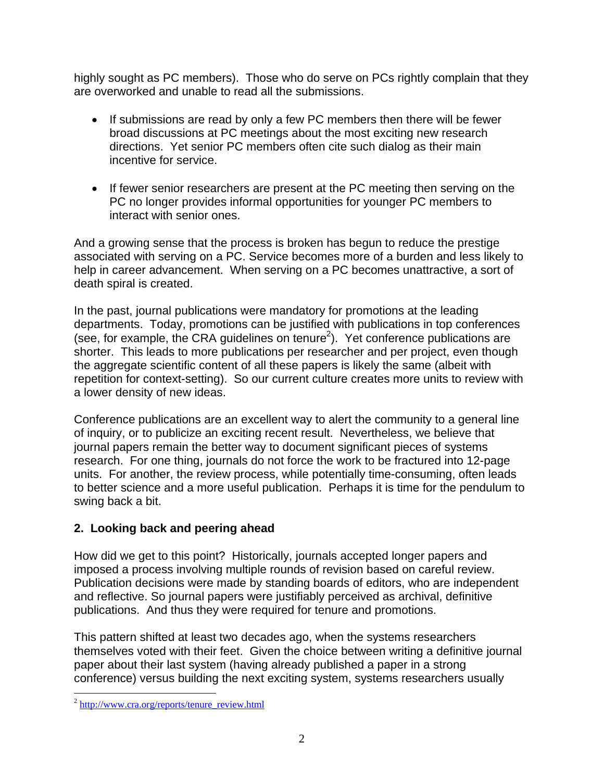highly sought as PC members). Those who do serve on PCs rightly complain that they are overworked and unable to read all the submissions.

- If submissions are read by only a few PC members then there will be fewer broad discussions at PC meetings about the most exciting new research directions. Yet senior PC members often cite such dialog as their main incentive for service.
- If fewer senior researchers are present at the PC meeting then serving on the PC no longer provides informal opportunities for younger PC members to interact with senior ones.

And a growing sense that the process is broken has begun to reduce the prestige associated with serving on a PC. Service becomes more of a burden and less likely to help in career advancement. When serving on a PC becomes unattractive, a sort of death spiral is created.

In the past, journal publications were mandatory for promotions at the leading departments. Today, promotions can be justified with publications in top conferences (see, for example, the CRA guidelines on tenure<sup>2</sup>). Yet conference publications are shorter. This leads to more publications per researcher and per project, even though the aggregate scientific content of all these papers is likely the same (albeit with repetition for context-setting). So our current culture creates more units to review with a lower density of new ideas.

Conference publications are an excellent way to alert the community to a general line of inquiry, or to publicize an exciting recent result. Nevertheless, we believe that journal papers remain the better way to document significant pieces of systems research. For one thing, journals do not force the work to be fractured into 12-page units. For another, the review process, while potentially time-consuming, often leads to better science and a more useful publication. Perhaps it is time for the pendulum to swing back a bit.

# **2. Looking back and peering ahead**

How did we get to this point? Historically, journals accepted longer papers and imposed a process involving multiple rounds of revision based on careful review. Publication decisions were made by standing boards of editors, who are independent and reflective. So journal papers were justifiably perceived as archival, definitive publications. And thus they were required for tenure and promotions.

This pattern shifted at least two decades ago, when the systems researchers themselves voted with their feet. Given the choice between writing a definitive journal paper about their last system (having already published a paper in a strong conference) versus building the next exciting system, systems researchers usually

 $\overline{a}$ 

<sup>&</sup>lt;sup>2</sup> http://www.cra.org/reports/tenure\_review.html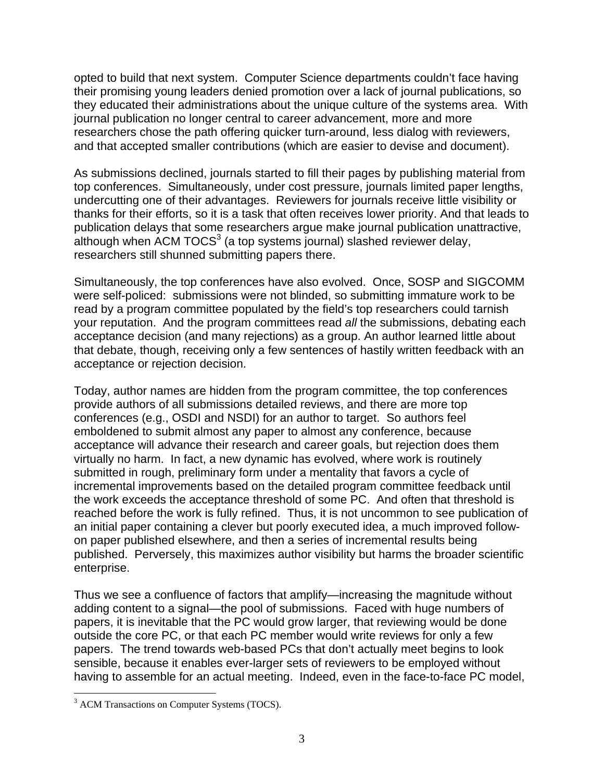opted to build that next system. Computer Science departments couldn't face having their promising young leaders denied promotion over a lack of journal publications, so they educated their administrations about the unique culture of the systems area. With journal publication no longer central to career advancement, more and more researchers chose the path offering quicker turn-around, less dialog with reviewers, and that accepted smaller contributions (which are easier to devise and document).

As submissions declined, journals started to fill their pages by publishing material from top conferences. Simultaneously, under cost pressure, journals limited paper lengths, undercutting one of their advantages. Reviewers for journals receive little visibility or thanks for their efforts, so it is a task that often receives lower priority. And that leads to publication delays that some researchers argue make journal publication unattractive, although when ACM TOCS $3$  (a top systems journal) slashed reviewer delay, researchers still shunned submitting papers there.

Simultaneously, the top conferences have also evolved. Once, SOSP and SIGCOMM were self-policed: submissions were not blinded, so submitting immature work to be read by a program committee populated by the field's top researchers could tarnish your reputation. And the program committees read *all* the submissions, debating each acceptance decision (and many rejections) as a group. An author learned little about that debate, though, receiving only a few sentences of hastily written feedback with an acceptance or rejection decision.

Today, author names are hidden from the program committee, the top conferences provide authors of all submissions detailed reviews, and there are more top conferences (e.g., OSDI and NSDI) for an author to target. So authors feel emboldened to submit almost any paper to almost any conference, because acceptance will advance their research and career goals, but rejection does them virtually no harm. In fact, a new dynamic has evolved, where work is routinely submitted in rough, preliminary form under a mentality that favors a cycle of incremental improvements based on the detailed program committee feedback until the work exceeds the acceptance threshold of some PC. And often that threshold is reached before the work is fully refined. Thus, it is not uncommon to see publication of an initial paper containing a clever but poorly executed idea, a much improved followon paper published elsewhere, and then a series of incremental results being published. Perversely, this maximizes author visibility but harms the broader scientific enterprise.

Thus we see a confluence of factors that amplify—increasing the magnitude without adding content to a signal—the pool of submissions. Faced with huge numbers of papers, it is inevitable that the PC would grow larger, that reviewing would be done outside the core PC, or that each PC member would write reviews for only a few papers. The trend towards web-based PCs that don't actually meet begins to look sensible, because it enables ever-larger sets of reviewers to be employed without having to assemble for an actual meeting. Indeed, even in the face-to-face PC model,

 $\overline{a}$ 

<sup>&</sup>lt;sup>3</sup> ACM Transactions on Computer Systems (TOCS).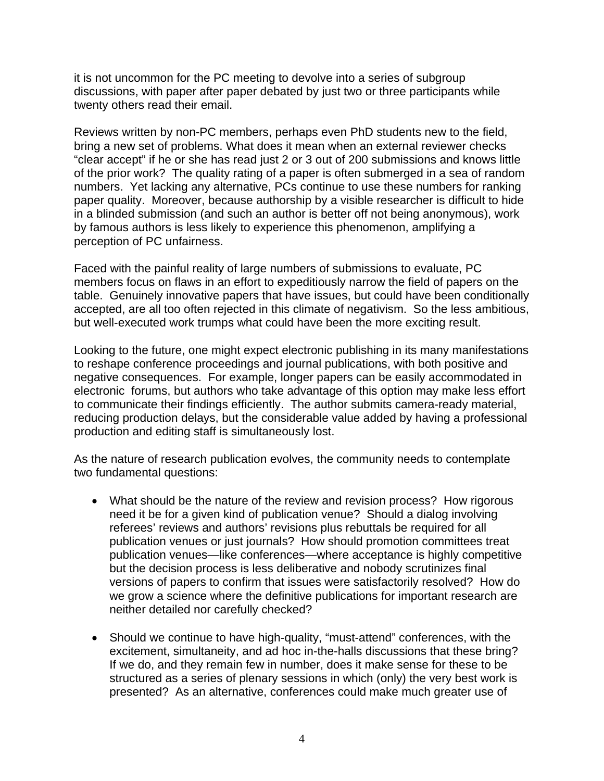it is not uncommon for the PC meeting to devolve into a series of subgroup discussions, with paper after paper debated by just two or three participants while twenty others read their email.

Reviews written by non-PC members, perhaps even PhD students new to the field, bring a new set of problems. What does it mean when an external reviewer checks "clear accept" if he or she has read just 2 or 3 out of 200 submissions and knows little of the prior work? The quality rating of a paper is often submerged in a sea of random numbers. Yet lacking any alternative, PCs continue to use these numbers for ranking paper quality. Moreover, because authorship by a visible researcher is difficult to hide in a blinded submission (and such an author is better off not being anonymous), work by famous authors is less likely to experience this phenomenon, amplifying a perception of PC unfairness.

Faced with the painful reality of large numbers of submissions to evaluate, PC members focus on flaws in an effort to expeditiously narrow the field of papers on the table. Genuinely innovative papers that have issues, but could have been conditionally accepted, are all too often rejected in this climate of negativism. So the less ambitious, but well-executed work trumps what could have been the more exciting result.

Looking to the future, one might expect electronic publishing in its many manifestations to reshape conference proceedings and journal publications, with both positive and negative consequences. For example, longer papers can be easily accommodated in electronic forums, but authors who take advantage of this option may make less effort to communicate their findings efficiently. The author submits camera-ready material, reducing production delays, but the considerable value added by having a professional production and editing staff is simultaneously lost.

As the nature of research publication evolves, the community needs to contemplate two fundamental questions:

- What should be the nature of the review and revision process? How rigorous need it be for a given kind of publication venue? Should a dialog involving referees' reviews and authors' revisions plus rebuttals be required for all publication venues or just journals? How should promotion committees treat publication venues—like conferences—where acceptance is highly competitive but the decision process is less deliberative and nobody scrutinizes final versions of papers to confirm that issues were satisfactorily resolved? How do we grow a science where the definitive publications for important research are neither detailed nor carefully checked?
- Should we continue to have high-quality, "must-attend" conferences, with the excitement, simultaneity, and ad hoc in-the-halls discussions that these bring? If we do, and they remain few in number, does it make sense for these to be structured as a series of plenary sessions in which (only) the very best work is presented? As an alternative, conferences could make much greater use of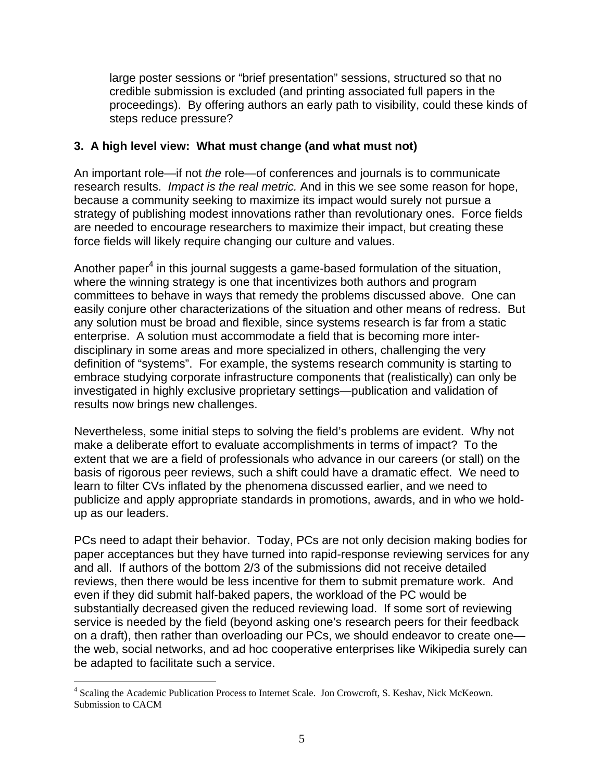large poster sessions or "brief presentation" sessions, structured so that no credible submission is excluded (and printing associated full papers in the proceedings). By offering authors an early path to visibility, could these kinds of steps reduce pressure?

## **3. A high level view: What must change (and what must not)**

An important role—if not *the* role—of conferences and journals is to communicate research results. *Impact is the real metric.* And in this we see some reason for hope, because a community seeking to maximize its impact would surely not pursue a strategy of publishing modest innovations rather than revolutionary ones. Force fields are needed to encourage researchers to maximize their impact, but creating these force fields will likely require changing our culture and values.

Another paper<sup>4</sup> in this journal suggests a game-based formulation of the situation, where the winning strategy is one that incentivizes both authors and program committees to behave in ways that remedy the problems discussed above. One can easily conjure other characterizations of the situation and other means of redress. But any solution must be broad and flexible, since systems research is far from a static enterprise. A solution must accommodate a field that is becoming more interdisciplinary in some areas and more specialized in others, challenging the very definition of "systems". For example, the systems research community is starting to embrace studying corporate infrastructure components that (realistically) can only be investigated in highly exclusive proprietary settings—publication and validation of results now brings new challenges.

Nevertheless, some initial steps to solving the field's problems are evident. Why not make a deliberate effort to evaluate accomplishments in terms of impact? To the extent that we are a field of professionals who advance in our careers (or stall) on the basis of rigorous peer reviews, such a shift could have a dramatic effect. We need to learn to filter CVs inflated by the phenomena discussed earlier, and we need to publicize and apply appropriate standards in promotions, awards, and in who we holdup as our leaders.

PCs need to adapt their behavior. Today, PCs are not only decision making bodies for paper acceptances but they have turned into rapid-response reviewing services for any and all. If authors of the bottom 2/3 of the submissions did not receive detailed reviews, then there would be less incentive for them to submit premature work. And even if they did submit half-baked papers, the workload of the PC would be substantially decreased given the reduced reviewing load. If some sort of reviewing service is needed by the field (beyond asking one's research peers for their feedback on a draft), then rather than overloading our PCs, we should endeavor to create one the web, social networks, and ad hoc cooperative enterprises like Wikipedia surely can be adapted to facilitate such a service.

 $\overline{a}$ 

<sup>&</sup>lt;sup>4</sup> Scaling the Academic Publication Process to Internet Scale. Jon Crowcroft, S. Keshav, Nick McKeown. Submission to CACM